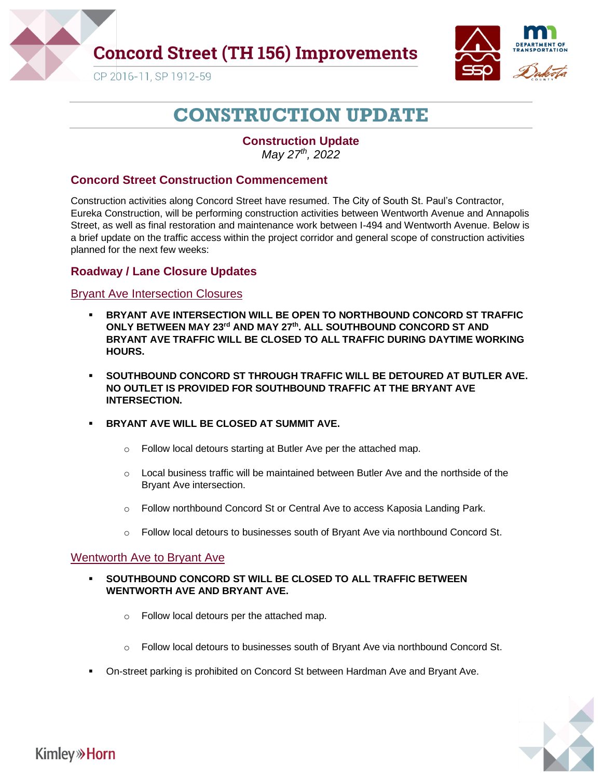

## **Concord Street (TH 156) Improvements**



CP 2016-11, SP 1912-59

# **CONSTRUCTION UPDATE**

### **Construction Update** *May 27 th, 2022*

### **Concord Street Construction Commencement**

Construction activities along Concord Street have resumed. The City of South St. Paul's Contractor, Eureka Construction, will be performing construction activities between Wentworth Avenue and Annapolis Street, as well as final restoration and maintenance work between I-494 and Wentworth Avenue. Below is a brief update on the traffic access within the project corridor and general scope of construction activities planned for the next few weeks:

### **Roadway / Lane Closure Updates**

#### Bryant Ave Intersection Closures

- **BRYANT AVE INTERSECTION WILL BE OPEN TO NORTHBOUND CONCORD ST TRAFFIC ONLY BETWEEN MAY 23rd AND MAY 27th. ALL SOUTHBOUND CONCORD ST AND BRYANT AVE TRAFFIC WILL BE CLOSED TO ALL TRAFFIC DURING DAYTIME WORKING HOURS.**
- **SOUTHBOUND CONCORD ST THROUGH TRAFFIC WILL BE DETOURED AT BUTLER AVE. NO OUTLET IS PROVIDED FOR SOUTHBOUND TRAFFIC AT THE BRYANT AVE INTERSECTION.**
- **BRYANT AVE WILL BE CLOSED AT SUMMIT AVE.** 
	- o Follow local detours starting at Butler Ave per the attached map.
	- $\circ$  Local business traffic will be maintained between Butler Ave and the northside of the Bryant Ave intersection.
	- o Follow northbound Concord St or Central Ave to access Kaposia Landing Park.
	- $\circ$  Follow local detours to businesses south of Bryant Ave via northbound Concord St.

#### Wentworth Ave to Bryant Ave

- **SOUTHBOUND CONCORD ST WILL BE CLOSED TO ALL TRAFFIC BETWEEN WENTWORTH AVE AND BRYANT AVE.**
	- o Follow local detours per the attached map.
	- $\circ$  Follow local detours to businesses south of Bryant Ave via northbound Concord St.
- On-street parking is prohibited on Concord St between Hardman Ave and Bryant Ave.



## **Kimley**<sup>></sup>Horn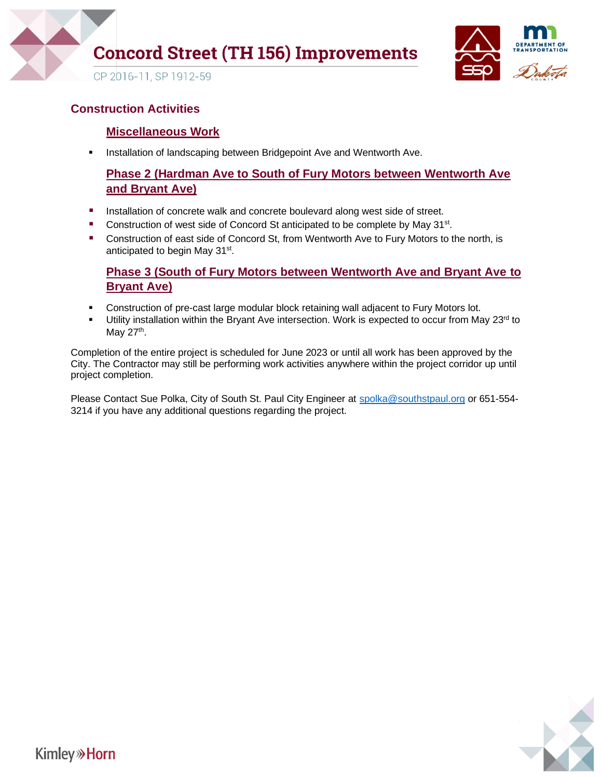

# **Concord Street (TH 156) Improvements**



CP 2016-11, SP 1912-59

### **Construction Activities**

### **Miscellaneous Work**

**■** Installation of landscaping between Bridgepoint Ave and Wentworth Ave.

## **Phase 2 (Hardman Ave to South of Fury Motors between Wentworth Ave and Bryant Ave)**

- **EXECTE Installation of concrete walk and concrete boulevard along west side of street.**
- Construction of west side of Concord St anticipated to be complete by May 31<sup>st</sup>.
- Construction of east side of Concord St, from Wentworth Ave to Fury Motors to the north, is anticipated to begin May 31<sup>st</sup>.

### **Phase 3 (South of Fury Motors between Wentworth Ave and Bryant Ave to Bryant Ave)**

- **Construction of pre-cast large modular block retaining wall adjacent to Fury Motors lot.**
- **■** Utility installation within the Bryant Ave intersection. Work is expected to occur from May 23<sup>rd</sup> to May 27<sup>th</sup>.

Completion of the entire project is scheduled for June 2023 or until all work has been approved by the City. The Contractor may still be performing work activities anywhere within the project corridor up until project completion.

Please Contact Sue Polka, City of South St. Paul City Engineer at [spolka@southstpaul.org](mailto:spolka@southstpaul.org) or 651-554-3214 if you have any additional questions regarding the project.